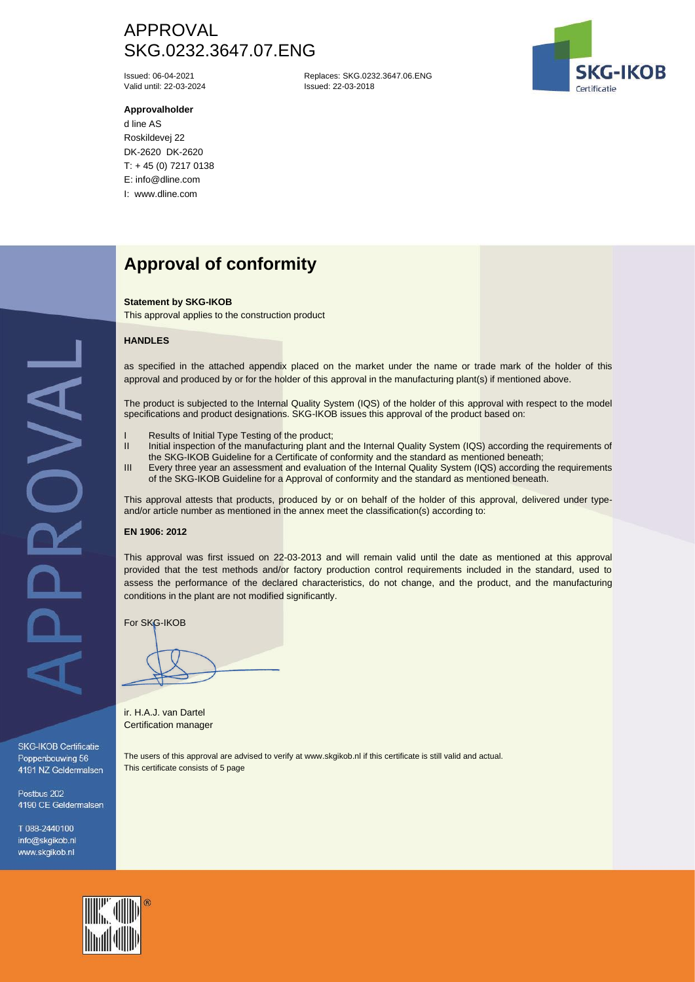# APPROVAL SKG.0232.3647.07.ENG

Valid until: 22-03-2024

### **Approvalholder**

d line AS Roskildevej 22 DK-2620 DK-2620 T: + 45 (0) 7217 0138 E: info@dline.com I: www.dline.com

Issued: 06-04-2021 Replaces: SKG.0232.3647.06.ENG



# **Approval of conformity**

#### **Statement by SKG-IKOB**

This approval applies to the construction product

### **HANDLES**

as specified in the attached appendix placed on the market under the name or trade mark of the holder of this approval and produced by or for the holder of this approval in the manufacturing plant(s) if mentioned above.

The product is subjected to the Internal Quality System (IQS) of the holder of this approval with respect to the model specifications and product designations. SKG-IKOB issues this approval of the product based on:

- I Results of Initial Type Testing of the product;<br>II Initial inspection of the manufacturing plant a
- Initial inspection of the manufacturing plant and the Internal Quality System (IQS) according the requirements of the SKG-IKOB Guideline for a Certificate of conformity and the standard as mentioned beneath;
- III Every three year an assessment and evaluation of the Internal Quality System (IQS) according the requirements of the SKG-IKOB Guideline for a Approval of conformity and the standard as mentioned beneath.

This approval attests that products, produced by or on behalf of the holder of this approval, delivered under typeand/or article number as mentioned in the annex meet the classification(s) according to:

## **EN 1906: 2012**

This approval was first issued on 22-03-2013 and will remain valid until the date as mentioned at this approval provided that the test methods and/or factory production control requirements included in the standard, used to assess the performance of the declared characteristics, do not change, and the product, and the manufacturing conditions in the plant are not modified significantly.

For SKG-IKOB

ir. H.A.J. van Dartel Certification manager

The users of this approval are advised to verify at www.skgikob.nl if this certificate is still valid and actual. This certificate consists of 5 page

SKG-IKOB Certificatie Poppenbouwing 56 4191 NZ Geldermalsen

Postbus 202 4190 CE Geldermalsen

T 088-2440100 info@skgikob.nl www.skgikob.nl

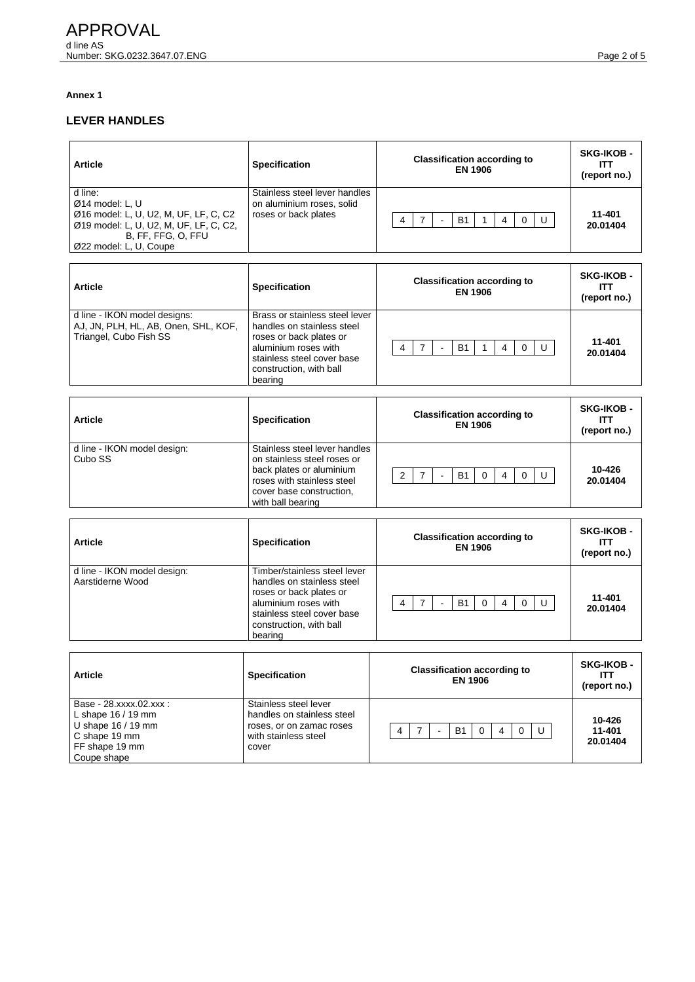## **Annex 1**

## **LEVER HANDLES**

| <b>Article</b>                                                                                                                                                  | <b>Specification</b>                                                               | <b>Classification according to</b><br><b>EN 1906</b>      | <b>SKG-IKOB -</b><br>ITT<br>(report no.) |
|-----------------------------------------------------------------------------------------------------------------------------------------------------------------|------------------------------------------------------------------------------------|-----------------------------------------------------------|------------------------------------------|
| d line:<br>$Ø14$ model: L, U<br>Ø16 model: L, U, U2, M, UF, LF, C, C2<br>Ø19 model: L, U, U2, M, UF, LF, C, C2,<br>B, FF, FFG, O, FFU<br>Ø22 model: L, U, Coupe | Stainless steel lever handles<br>on aluminium roses, solid<br>roses or back plates | <b>B1</b><br>U<br>4<br>4<br>0<br>$\overline{\phantom{0}}$ | 11-401<br>20.01404                       |
| <b>Article</b>                                                                                                                                                  | <b>Specification</b>                                                               | <b>Classification according to</b><br><b>EN 1906</b>      | <b>SKG-IKOB-</b><br>ITT<br>(report no.)  |

| d line - IKON model designs:<br>AJ, JN, PLH, HL, AB, Onen, SHL, KOF,<br>Triangel, Cubo Fish SS | Brass or stainless steel lever<br>handles on stainless steel<br>roses or back plates or<br>aluminium roses with<br>stainless steel cover base<br>construction, with ball<br>bearing | 4 |  | <b>B1</b> |  | U | 11-401<br>20.01404 |
|------------------------------------------------------------------------------------------------|-------------------------------------------------------------------------------------------------------------------------------------------------------------------------------------|---|--|-----------|--|---|--------------------|
|                                                                                                |                                                                                                                                                                                     |   |  |           |  |   |                    |

| <b>Article</b>                         | <b>Specification</b>                                                                                                                                                    | <b>Classification according to</b><br><b>EN 1906</b> | <b>SKG-IKOB-</b><br>ITT<br>(report no.) |
|----------------------------------------|-------------------------------------------------------------------------------------------------------------------------------------------------------------------------|------------------------------------------------------|-----------------------------------------|
| d line - IKON model design:<br>Cubo SS | Stainless steel lever handles<br>on stainless steel roses or<br>back plates or aluminium<br>roses with stainless steel<br>cover base construction,<br>with ball bearing | <b>B1</b><br>U<br>$\mathbf 0$<br>$\Omega$<br>C<br>4  | 10-426<br>20.01404                      |

| <b>Article</b>                                  | <b>Specification</b>                                                                                                                                                              | <b>Classification according to</b><br><b>EN 1906</b> | <b>SKG-IKOB-</b><br>ITT<br>(report no.) |
|-------------------------------------------------|-----------------------------------------------------------------------------------------------------------------------------------------------------------------------------------|------------------------------------------------------|-----------------------------------------|
| d line - IKON model design:<br>Aarstiderne Wood | Timber/stainless steel lever<br>handles on stainless steel<br>roses or back plates or<br>aluminium roses with<br>stainless steel cover base<br>construction, with ball<br>bearing | <b>B1</b><br>U<br>$\Omega$<br>$\Omega$<br>4<br>4     | 11-401<br>20.01404                      |

| <b>Article</b>                                                                                                        | <b>Specification</b>                                                                                             | <b>Classification according to</b><br><b>EN 1906</b> | <b>SKG-IKOB -</b><br>ITT<br>(report no.) |
|-----------------------------------------------------------------------------------------------------------------------|------------------------------------------------------------------------------------------------------------------|------------------------------------------------------|------------------------------------------|
| Base - 28.xxxx.02.xxx :<br>L shape $16/19$ mm<br>U shape $16/19$ mm<br>C shape 19 mm<br>FF shape 19 mm<br>Coupe shape | Stainless steel lever<br>handles on stainless steel<br>roses, or on zamac roses<br>with stainless steel<br>cover | <b>B1</b><br>4<br>U<br>$\Omega$<br>$\Omega$<br>٠     | 10-426<br>11-401<br>20.01404             |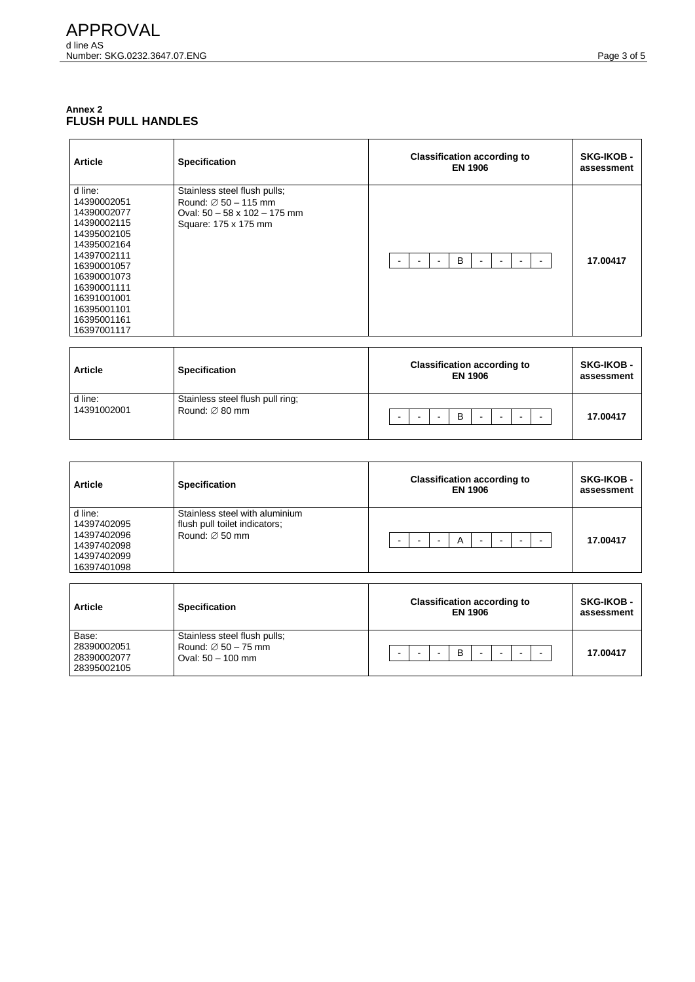## **Annex 2 FLUSH PULL HANDLES**

| <b>Article</b>                                                                                                                                                                                             | <b>Specification</b>                                                                                                            | <b>Classification according to</b><br><b>EN 1906</b>      | <b>SKG-IKOB -</b><br>assessment |
|------------------------------------------------------------------------------------------------------------------------------------------------------------------------------------------------------------|---------------------------------------------------------------------------------------------------------------------------------|-----------------------------------------------------------|---------------------------------|
| d line:<br>14390002051<br>14390002077<br>14390002115<br>14395002105<br>14395002164<br>14397002111<br>16390001057<br>16390001073<br>16390001111<br>16391001001<br>16395001101<br>16395001161<br>16397001117 | Stainless steel flush pulls;<br>Round: $\varnothing$ 50 - 115 mm<br>Oval: $50 - 58 \times 102 - 175$ mm<br>Square: 175 x 175 mm | B<br>$\overline{\phantom{0}}$<br>$\overline{\phantom{0}}$ | 17.00417                        |

| <b>Article</b>         | <b>Specification</b>                                           |                          |  | <b>Classification according to</b><br><b>EN 1906</b> |  |           | <b>SKG-IKOB -</b><br>assessment |
|------------------------|----------------------------------------------------------------|--------------------------|--|------------------------------------------------------|--|-----------|---------------------------------|
| d line:<br>14391002001 | Stainless steel flush pull ring;<br>Round: $\varnothing$ 80 mm | $\overline{\phantom{0}}$ |  | B                                                    |  | <b>11</b> | 17.00417                        |

| <b>Article</b>                                                                     | <b>Specification</b>                                                                          | <b>Classification according to</b><br><b>EN 1906</b> | <b>SKG-IKOB -</b><br>assessment |
|------------------------------------------------------------------------------------|-----------------------------------------------------------------------------------------------|------------------------------------------------------|---------------------------------|
| d line:<br>14397402095<br>14397402096<br>14397402098<br>14397402099<br>16397401098 | Stainless steel with aluminium<br>flush pull toilet indicators;<br>Round: $\varnothing$ 50 mm | A                                                    | 17.00417                        |

| <b>Article</b>                                     | <b>Specification</b>                                                                   | <b>Classification according to</b><br><b>EN 1906</b> | <b>SKG-IKOB -</b><br>assessment |
|----------------------------------------------------|----------------------------------------------------------------------------------------|------------------------------------------------------|---------------------------------|
| Base:<br>28390002051<br>28390002077<br>28395002105 | Stainless steel flush pulls;<br>Round: $\varnothing$ 50 - 75 mm<br>Oval: $50 - 100$ mm | B<br>-                                               | 17.00417                        |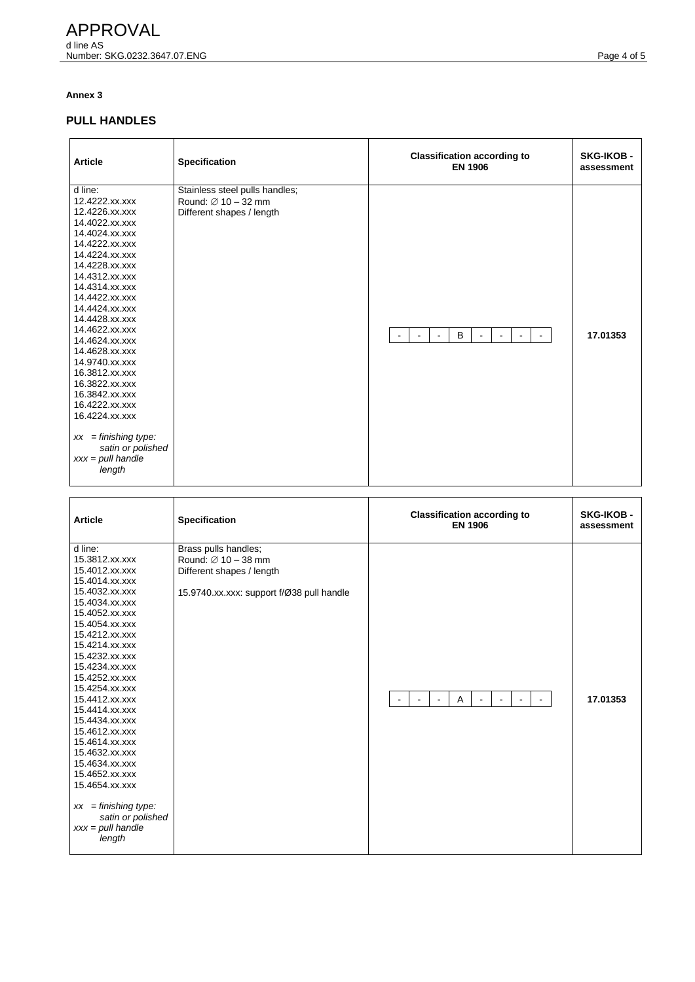## **Annex 3**

## **PULL HANDLES**

| <b>Article</b>                                                                                                                                                                                                                                                                                                                                                                                                                                                                    | <b>Specification</b>                                                                           | <b>Classification according to</b><br><b>EN 1906</b>                                    | <b>SKG-IKOB -</b><br>assessment |
|-----------------------------------------------------------------------------------------------------------------------------------------------------------------------------------------------------------------------------------------------------------------------------------------------------------------------------------------------------------------------------------------------------------------------------------------------------------------------------------|------------------------------------------------------------------------------------------------|-----------------------------------------------------------------------------------------|---------------------------------|
| d line:<br>12.4222.xx.xxx<br>12.4226.xx.xxx<br>14.4022.xx.xxx<br>14.4024.xx.xxx<br>14.4222.xx.xxx<br>14.4224.xx.xxx<br>14.4228.xx.xxx<br>14.4312.xx.xxx<br>14.4314.xx.xxx<br>14.4422.xx.xxx<br>14.4424.xx.xxx<br>14.4428.xx.xxx<br>14.4622.xx.xxx<br>14.4624.xx.xxx<br>14.4628.xx.xxx<br>14.9740.xx.xxx<br>16.3812.xx.xxx<br>16.3822.xx.xxx<br>16.3842.xx.xxx<br>16.4222.xx.xxx<br>16.4224.xx.xxx<br>$xx =$ finishing type:<br>satin or polished<br>$xxx = pull$ handle<br>length | Stainless steel pulls handles;<br>Round: $\varnothing$ 10 - 32 mm<br>Different shapes / length | B<br>$\sim$<br>$\sim$<br>$\blacksquare$<br>$\sim$<br>$\sim$<br>$\blacksquare$<br>$\sim$ | 17.01353                        |

| <b>Article</b>                                                                                                                                                                                                                                                                                                                                                                                                                                                                                      | Specification                                                                                                                     | <b>Classification according to</b><br><b>EN 1906</b>                                                                     | <b>SKG-IKOB -</b><br>assessment |
|-----------------------------------------------------------------------------------------------------------------------------------------------------------------------------------------------------------------------------------------------------------------------------------------------------------------------------------------------------------------------------------------------------------------------------------------------------------------------------------------------------|-----------------------------------------------------------------------------------------------------------------------------------|--------------------------------------------------------------------------------------------------------------------------|---------------------------------|
| d line:<br>15.3812.xx.xxx<br>15.4012.xx.xxx<br>15.4014.xx.xxx<br>15.4032.xx.xxx<br>15.4034.xx.xxx<br>15.4052.xx.xxx<br>15.4054.xx.xxx<br>15.4212.xx.xxx<br>15.4214.xx.xxx<br>15.4232.xx.xxx<br>15.4234.xx.xxx<br>15.4252.xx.xxx<br>15.4254.xx.xxx<br>15.4412.xx.xxx<br>15.4414.xx.xxx<br>15.4434.xx.xxx<br>15.4612.xx.xxx<br>15.4614.xx.xxx<br>15.4632.xx.xxx<br>15.4634.xx.xxx<br>15.4652.xx.xxx<br>15.4654.xx.xxx<br>$xx =$ finishing type:<br>satin or polished<br>$xxx = pull$ handle<br>length | Brass pulls handles;<br>Round: $\varnothing$ 10 - 38 mm<br>Different shapes / length<br>15.9740.xx.xxx: support f/Ø38 pull handle | $\mathsf{A}$<br>$\blacksquare$<br>$\blacksquare$<br>$\blacksquare$<br>$\blacksquare$<br>$\blacksquare$<br>$\blacksquare$ | 17.01353                        |